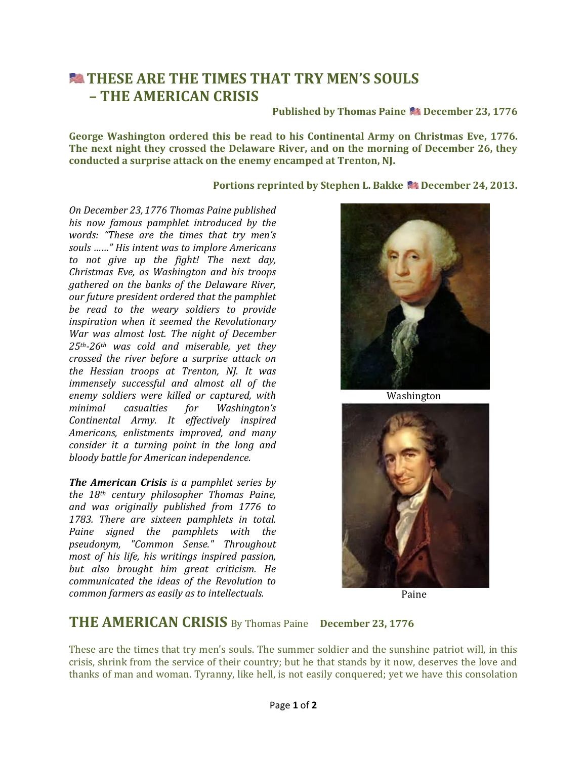## **EXTHESE ARE THE TIMES THAT TRY MEN'S SOULS – THE AMERICAN CRISIS**

**Published by Thomas Paine December 23, 1776**

**George Washington ordered this be read to his Continental Army on Christmas Eve, 1776. The next night they crossed the Delaware River, and on the morning of December 26, they conducted a surprise attack on the enemy encamped at Trenton, NJ.**

## **Portions reprinted by Stephen L. Bakke Stephen 24, 2013.**

*On December 23, 1776 Thomas Paine published his now famous pamphlet introduced by the words: "These are the times that try men's souls ……" His intent was to implore Americans to not give up the fight! The next day, Christmas Eve, as Washington and his troops gathered on the banks of the Delaware River, our future president ordered that the pamphlet be read to the weary soldiers to provide inspiration when it seemed the Revolutionary War was almost lost. The night of December 25th-26th was cold and miserable, yet they crossed the river before a surprise attack on the Hessian troops at Trenton, NJ. It was immensely successful and almost all of the enemy soldiers were killed or captured, with minimal casualties for Washington's Continental Army. It effectively inspired Americans, enlistments improved, and many consider it a turning point in the long and bloody battle for American independence.*

*The American Crisis is a pamphlet series by the 18th century philosopher Thomas Paine, and was originally published from 1776 to 1783. There are sixteen pamphlets in total. Paine signed the pamphlets with the pseudonym, "Common Sense." Throughout most of his life, his writings inspired passion, but also brought him great criticism. He communicated the ideas of the Revolution to common farmers as easily as to intellectuals.* 



[Washington](http://images.search.yahoo.com/images/view;_ylt=AwrTcX7lS4pSg0MAF3iJzbkF;_ylu=X3oDMTIzOThjcDYxBHNlYwNzcgRzbGsDaW1nBG9pZANhMjM2YjJhYWY3ZmU3MWFmMjUzNTU2Nzg2NDdmOTI0NgRncG9zAzE2BGl0A2Jpbmc-?back=http://images.search.yahoo.com/search/images?_adv_prop=image&va=George+Washington&fr=yfp-t-900&tab=organic&ri=16&w=530&h=664&imgurl=www.artinthepicture.com/artists/Gilbert_Stuart/george_washington.jpeg&rurl=http://stpetesmountain.blogspot.com/2009_10_01_archive.html&size=45.4KB&name=<b>george+washington+</b>the+readings+for+week+iv+<b>george+washington+</b>...&p=George+Washington&oid=a236b2aaf7fe71af25355678647f9246&fr2=&fr=yfp-t-900&tt=<b>george+washington+</b>the+readings+for+week+iv+<b>george+washington+</b>...&b=0&ni=128&no=16&ts=&tab=organic&sigr=11r5129iq&sigb=13gditfv0&sigi=125vmjlvg&.crumb=m0ETt59E3Zb&fr=yfp-t-900)



Paine

## **THE AMERICAN CRISIS** By Thomas Paine **December 23, 1776**

These are the times that try men's souls. The summer soldier and the sunshine patriot will, in this crisis, shrink from the service of their country; but he that stands by it now, deserves the love and thanks of man and woman. Tyranny, like hell, is not easily conquered; yet we have this consolation